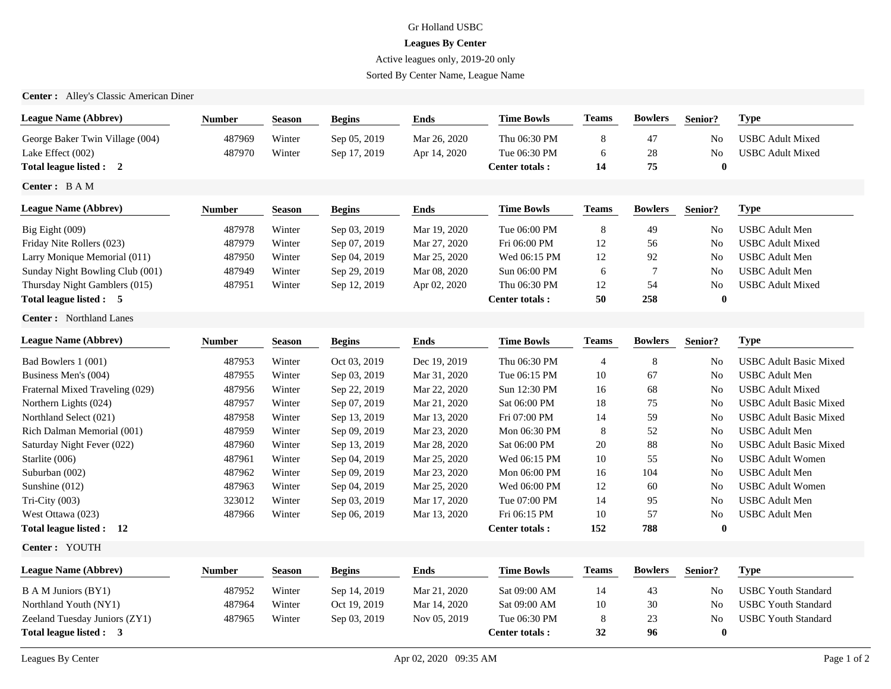## Gr Holland USBC

## **Leagues By Center**

Active leagues only, 2019-20 only

Sorted By Center Name, League Name

**Center :** Alley's Classic American Diner

| <b>League Name (Abbrev)</b>     | <b>Number</b> | <b>Season</b> | <b>Begins</b> | <b>Ends</b>  | <b>Time Bowls</b>     | <b>Teams</b>   | <b>Bowlers</b> | Senior?        | <b>Type</b>                   |
|---------------------------------|---------------|---------------|---------------|--------------|-----------------------|----------------|----------------|----------------|-------------------------------|
| George Baker Twin Village (004) | 487969        | Winter        | Sep 05, 2019  | Mar 26, 2020 | Thu 06:30 PM          | 8              | 47             | N <sub>0</sub> | <b>USBC</b> Adult Mixed       |
| Lake Effect (002)               | 487970        | Winter        | Sep 17, 2019  | Apr 14, 2020 | Tue 06:30 PM          | 6              | $28\,$         | No             | <b>USBC</b> Adult Mixed       |
| Total league listed : 2         |               |               |               |              | Center totals:        | 14             | 75             | $\bf{0}$       |                               |
| Center: BAM                     |               |               |               |              |                       |                |                |                |                               |
| <b>League Name (Abbrev)</b>     | <b>Number</b> | <b>Season</b> | <b>Begins</b> | <b>Ends</b>  | <b>Time Bowls</b>     | <b>Teams</b>   | <b>Bowlers</b> | Senior?        | <b>Type</b>                   |
| Big Eight (009)                 | 487978        | Winter        | Sep 03, 2019  | Mar 19, 2020 | Tue 06:00 PM          | 8              | 49             | N <sub>0</sub> | <b>USBC</b> Adult Men         |
| Friday Nite Rollers (023)       | 487979        | Winter        | Sep 07, 2019  | Mar 27, 2020 | Fri 06:00 PM          | 12             | 56             | No             | <b>USBC</b> Adult Mixed       |
| Larry Monique Memorial (011)    | 487950        | Winter        | Sep 04, 2019  | Mar 25, 2020 | Wed 06:15 PM          | 12             | 92             | No             | <b>USBC</b> Adult Men         |
| Sunday Night Bowling Club (001) | 487949        | Winter        | Sep 29, 2019  | Mar 08, 2020 | Sun 06:00 PM          | 6              | $\overline{7}$ | No             | <b>USBC</b> Adult Men         |
| Thursday Night Gamblers (015)   | 487951        | Winter        | Sep 12, 2019  | Apr 02, 2020 | Thu 06:30 PM          | 12             | 54             | No             | <b>USBC</b> Adult Mixed       |
| Total league listed : 5         |               |               |               |              | <b>Center totals:</b> | 50             | 258            | $\bf{0}$       |                               |
| <b>Center:</b> Northland Lanes  |               |               |               |              |                       |                |                |                |                               |
| <b>League Name (Abbrev)</b>     | <b>Number</b> | <b>Season</b> | <b>Begins</b> | <b>Ends</b>  | <b>Time Bowls</b>     | <b>Teams</b>   | <b>Bowlers</b> | Senior?        | <b>Type</b>                   |
| Bad Bowlers 1 (001)             | 487953        | Winter        | Oct 03, 2019  | Dec 19, 2019 | Thu 06:30 PM          | $\overline{4}$ | 8              | N <sub>0</sub> | <b>USBC Adult Basic Mixed</b> |
| Business Men's (004)            | 487955        | Winter        | Sep 03, 2019  | Mar 31, 2020 | Tue 06:15 PM          | 10             | 67             | No             | <b>USBC</b> Adult Men         |
| Fraternal Mixed Traveling (029) | 487956        | Winter        | Sep 22, 2019  | Mar 22, 2020 | Sun 12:30 PM          | 16             | 68             | No             | <b>USBC</b> Adult Mixed       |
| Northern Lights (024)           | 487957        | Winter        | Sep 07, 2019  | Mar 21, 2020 | Sat 06:00 PM          | 18             | 75             | No             | <b>USBC Adult Basic Mixed</b> |
| Northland Select (021)          | 487958        | Winter        | Sep 13, 2019  | Mar 13, 2020 | Fri 07:00 PM          | 14             | 59             | N <sub>o</sub> | <b>USBC</b> Adult Basic Mixed |
| Rich Dalman Memorial (001)      | 487959        | Winter        | Sep 09, 2019  | Mar 23, 2020 | Mon 06:30 PM          | 8              | 52             | N <sub>o</sub> | <b>USBC</b> Adult Men         |
| Saturday Night Fever (022)      | 487960        | Winter        | Sep 13, 2019  | Mar 28, 2020 | Sat 06:00 PM          | 20             | 88             | No             | <b>USBC Adult Basic Mixed</b> |
| Starlite (006)                  | 487961        | Winter        | Sep 04, 2019  | Mar 25, 2020 | Wed 06:15 PM          | 10             | 55             | No             | <b>USBC</b> Adult Women       |
| Suburban (002)                  | 487962        | Winter        | Sep 09, 2019  | Mar 23, 2020 | Mon 06:00 PM          | 16             | 104            | No             | <b>USBC</b> Adult Men         |
| Sunshine (012)                  | 487963        | Winter        | Sep 04, 2019  | Mar 25, 2020 | Wed 06:00 PM          | 12             | 60             | No             | <b>USBC</b> Adult Women       |
| Tri-City (003)                  | 323012        | Winter        | Sep 03, 2019  | Mar 17, 2020 | Tue 07:00 PM          | 14             | 95             | N <sub>o</sub> | <b>USBC</b> Adult Men         |
| West Ottawa (023)               | 487966        | Winter        | Sep 06, 2019  | Mar 13, 2020 | Fri 06:15 PM          | 10             | 57             | No             | <b>USBC</b> Adult Men         |
| Total league listed : 12        |               |               |               |              | <b>Center totals:</b> | 152            | 788            | $\bf{0}$       |                               |
| Center: YOUTH                   |               |               |               |              |                       |                |                |                |                               |
| League Name (Abbrev)            | Number        | <b>Season</b> | <b>Begins</b> | <b>Ends</b>  | <b>Time Bowls</b>     | <b>Teams</b>   | <b>Bowlers</b> | Senior?        | <b>Type</b>                   |
| B A M Juniors (BY1)             | 487952        | Winter        | Sep 14, 2019  | Mar 21, 2020 | Sat 09:00 AM          | 14             | 43             | No             | <b>USBC Youth Standard</b>    |
| Northland Youth (NY1)           | 487964        | Winter        | Oct 19, 2019  | Mar 14, 2020 | Sat 09:00 AM          | 10             | 30             | N <sub>o</sub> | <b>USBC Youth Standard</b>    |
| Zeeland Tuesday Juniors (ZY1)   | 487965        | Winter        | Sep 03, 2019  | Nov 05, 2019 | Tue 06:30 PM          | 8              | 23             | No             | <b>USBC Youth Standard</b>    |
| Total league listed : 3         |               |               |               |              | Center totals:        | 32             | 96             | $\bf{0}$       |                               |